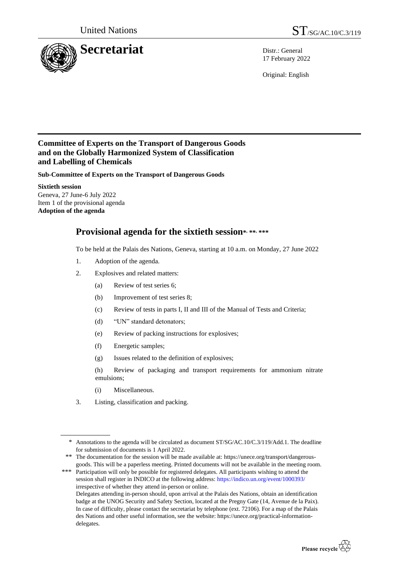

17 February 2022

Original: English

## **Committee of Experts on the Transport of Dangerous Goods and on the Globally Harmonized System of Classification and Labelling of Chemicals**

**Sub-Committee of Experts on the Transport of Dangerous Goods**

**Sixtieth session** Geneva, 27 June-6 July 2022 Item 1 of the provisional agenda **Adoption of the agenda**

## **Provisional agenda for the sixtieth session\* , \*\*, \*\*\***

To be held at the Palais des Nations, Geneva, starting at 10 a.m. on Monday, 27 June 2022

- 1. Adoption of the agenda.
- 2. Explosives and related matters:
	- (a) Review of test series 6;
	- (b) Improvement of test series 8;
	- (c) Review of tests in parts I, II and III of the Manual of Tests and Criteria;
	- (d) "UN" standard detonators;
	- (e) Review of packing instructions for explosives;
	- (f) Energetic samples;
	- (g) Issues related to the definition of explosives;

(h) Review of packaging and transport requirements for ammonium nitrate emulsions;

- (i) Miscellaneous.
- 3. Listing, classification and packing.

<sup>\*\*\*</sup> Participation will only be possible for registered delegates. All participants wishing to attend the session shall register in INDICO at the following address:<https://indico.un.org/event/1000393/> irrespective of whether they attend in-person or online. Delegates attending in-person should, upon arrival at the Palais des Nations, obtain an identification badge at the UNOG Security and Safety Section, located at the Pregny Gate (14, Avenue de la Paix). In case of difficulty, please contact the secretariat by telephone (ext. 72106). For a map of the Palais des Nations and other useful information, see the website: https://unece.org/practical-informationdelegates.



<sup>\*</sup> Annotations to the agenda will be circulated as document ST/SG/AC.10/C.3/119/Add.1. The deadline for submission of documents is 1 April 2022.

<sup>\*\*</sup> The documentation for the session will be made available at: https://unece.org/transport/dangerousgoods. This will be a paperless meeting. Printed documents will not be available in the meeting room.